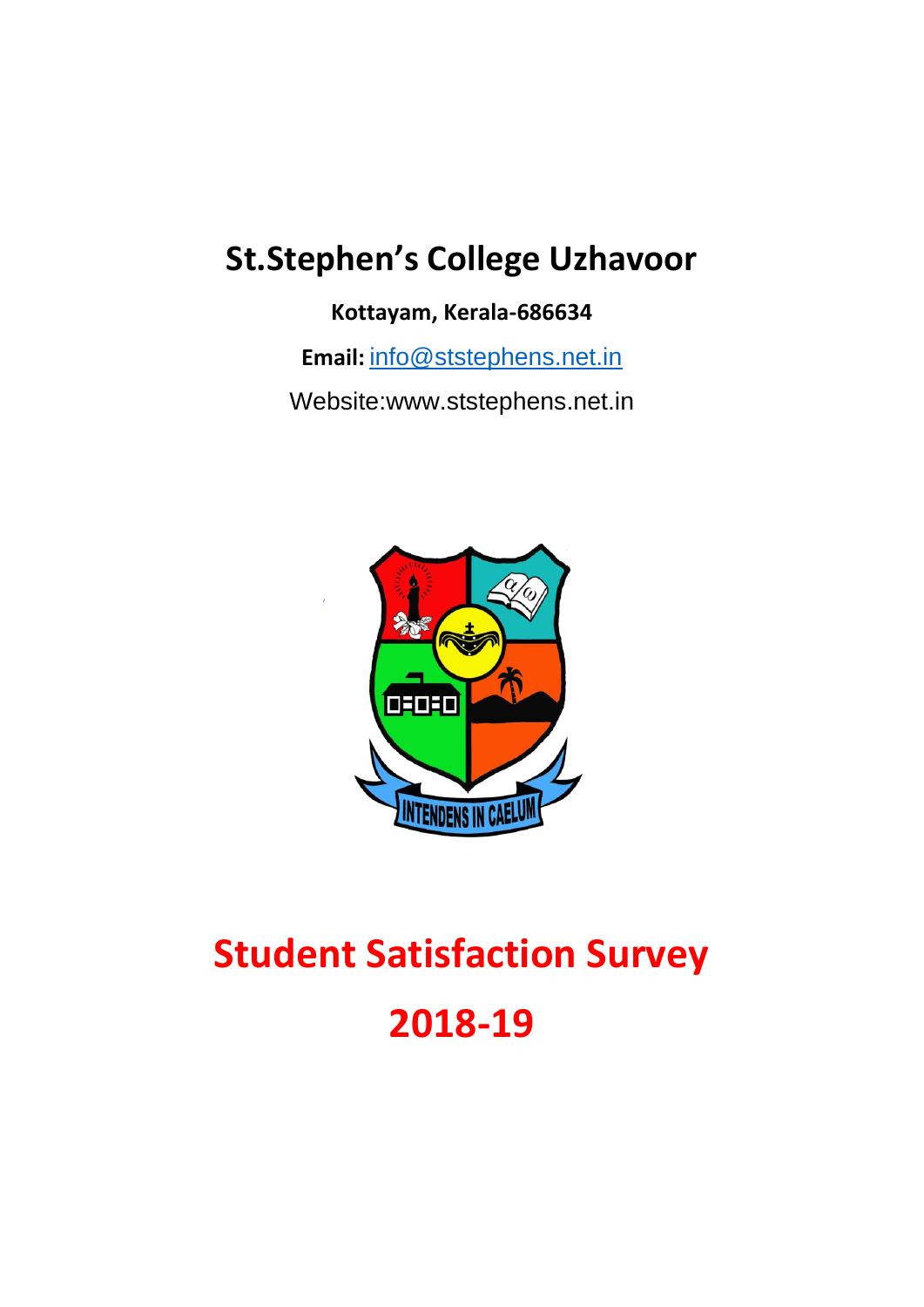## **St.Stephen's College Uzhavoor**

**Kottayam, Kerala-686634**

**Email:** [info@ststephens.net.in](mailto:info@ststephens.net.in)

Website:www.ststephens.net.in



# **Student Satisfaction Survey 2018-19**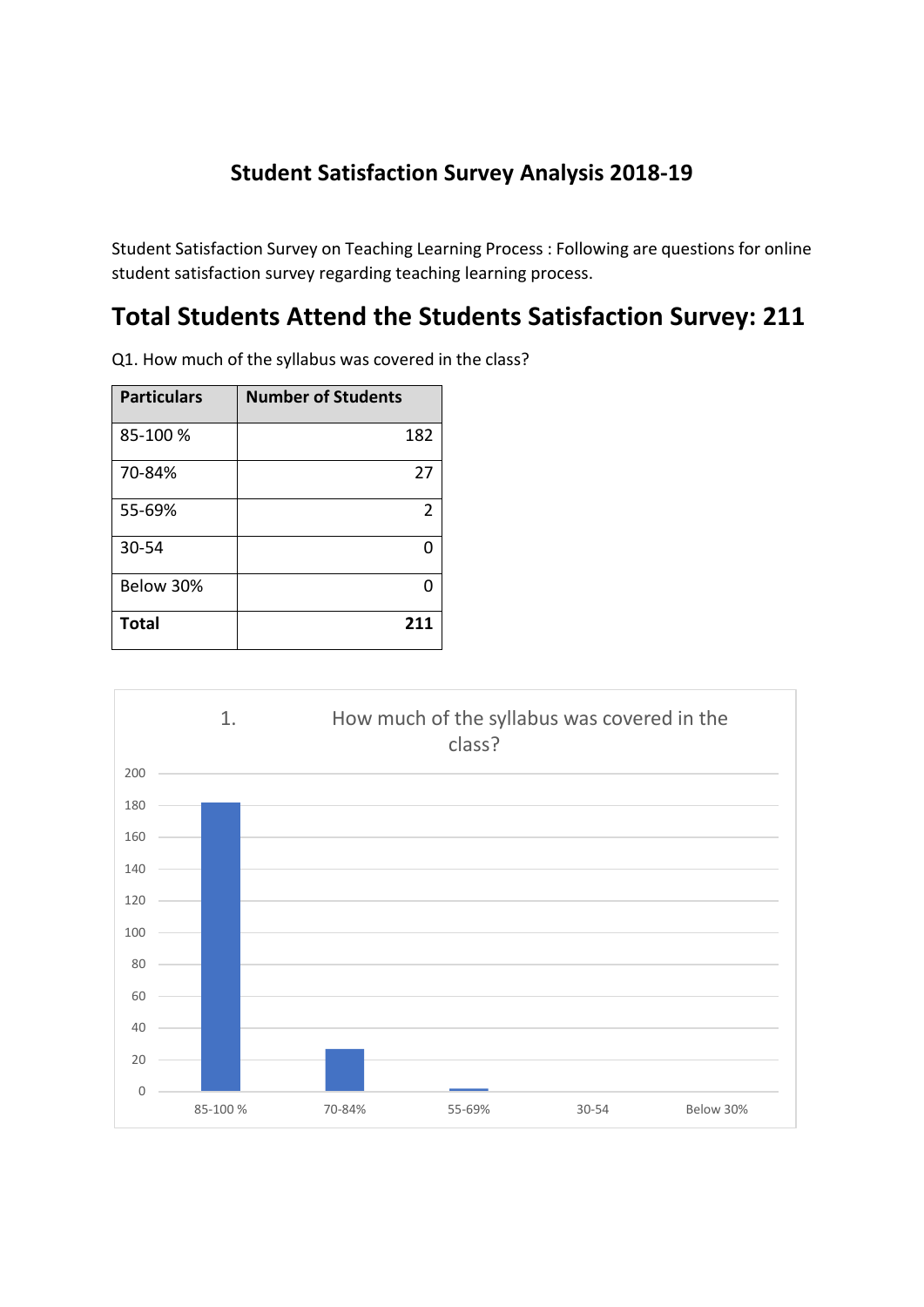#### **Student Satisfaction Survey Analysis 2018-19**

Student Satisfaction Survey on Teaching Learning Process : Following are questions for online student satisfaction survey regarding teaching learning process.

### **Total Students Attend the Students Satisfaction Survey: 211**

Q1. How much of the syllabus was covered in the class?

| <b>Particulars</b> | <b>Number of Students</b> |
|--------------------|---------------------------|
| 85-100 %           | 182                       |
| 70-84%             | 27                        |
| 55-69%             | 2                         |
| 30-54              |                           |
| Below 30%          |                           |
| <b>Total</b>       | 211                       |

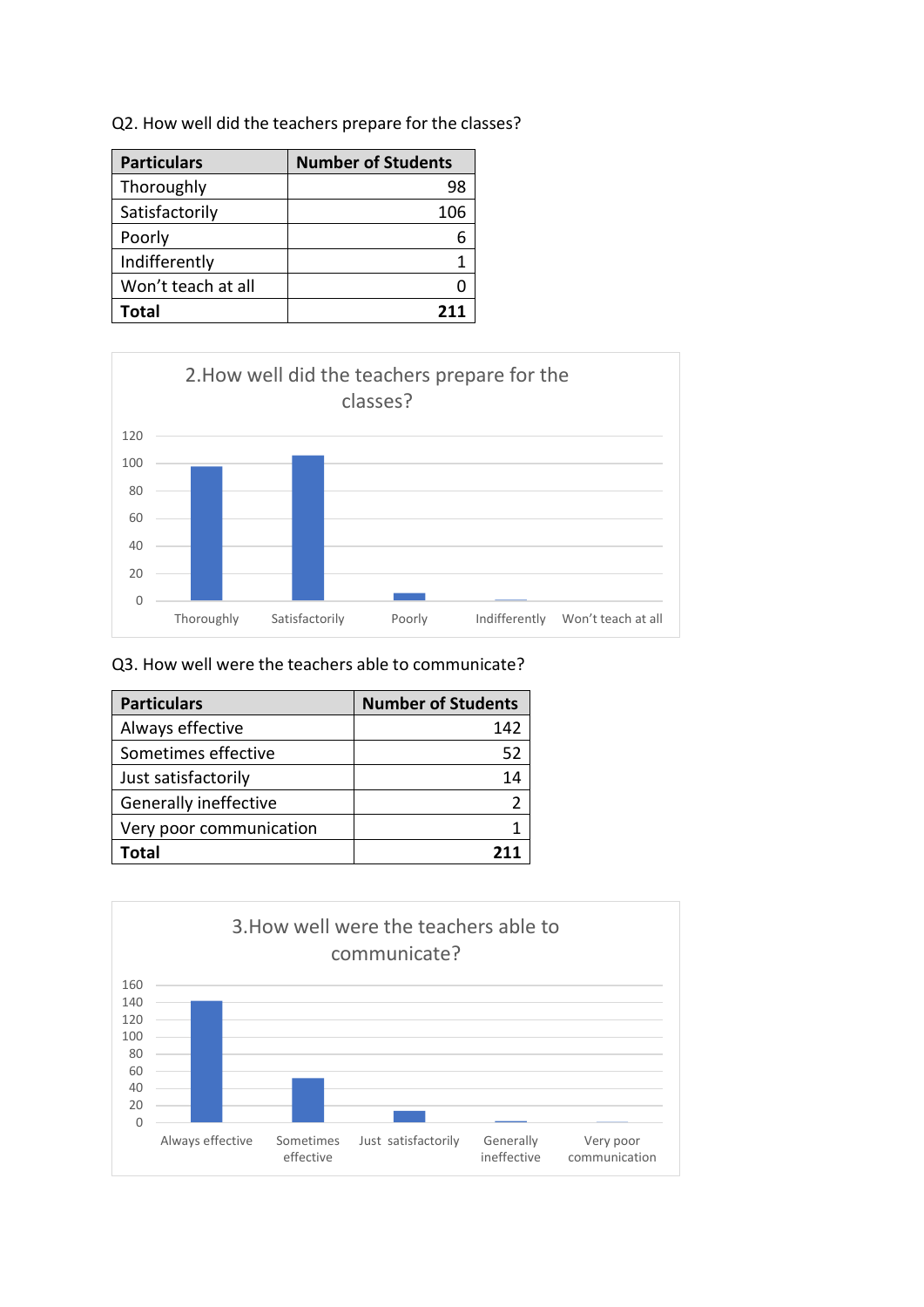|  |  |  |  |  |  |  | Q2. How well did the teachers prepare for the classes? |
|--|--|--|--|--|--|--|--------------------------------------------------------|
|--|--|--|--|--|--|--|--------------------------------------------------------|

| <b>Particulars</b> | <b>Number of Students</b> |
|--------------------|---------------------------|
| Thoroughly         | 98                        |
| Satisfactorily     | 106                       |
| Poorly             |                           |
| Indifferently      |                           |
| Won't teach at all |                           |
| Total              | 211                       |



#### Q3. How well were the teachers able to communicate?

| <b>Particulars</b>      | <b>Number of Students</b> |
|-------------------------|---------------------------|
| Always effective        | 142                       |
| Sometimes effective     | 52                        |
| Just satisfactorily     | 14                        |
| Generally ineffective   |                           |
| Very poor communication |                           |
| Total                   |                           |

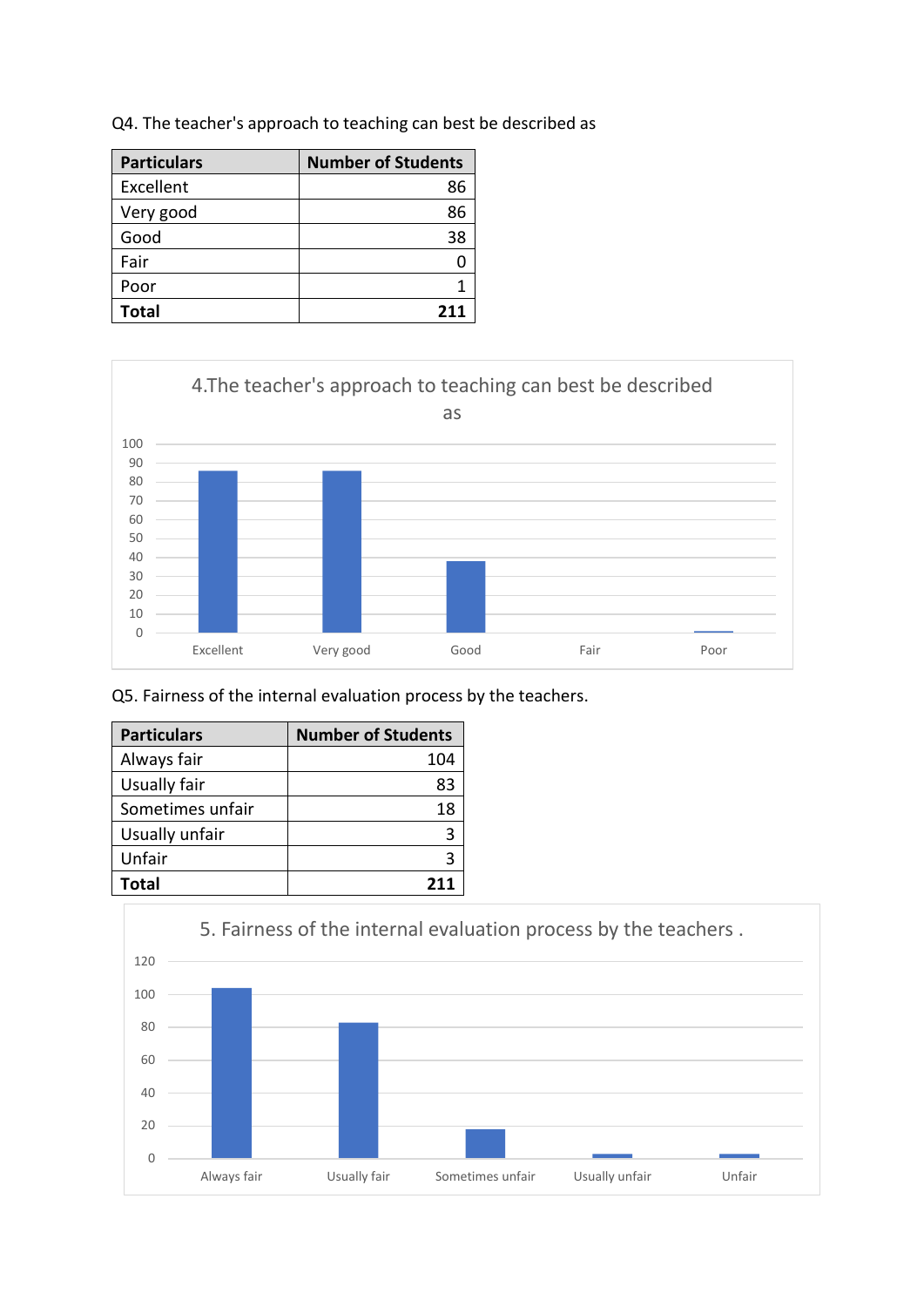| <b>Particulars</b> | <b>Number of Students</b> |
|--------------------|---------------------------|
| Excellent          | 86                        |
| Very good          | 86                        |
| Good               | 38                        |
| Fair               |                           |
| Poor               |                           |
| <b>Total</b>       | 211                       |

Q4. The teacher's approach to teaching can best be described as



Q5. Fairness of the internal evaluation process by the teachers.

| <b>Particulars</b> | <b>Number of Students</b> |
|--------------------|---------------------------|
| Always fair        | 104                       |
| Usually fair       | 83                        |
| Sometimes unfair   | 18                        |
| Usually unfair     |                           |
| Unfair             |                           |
| Total              | 211                       |

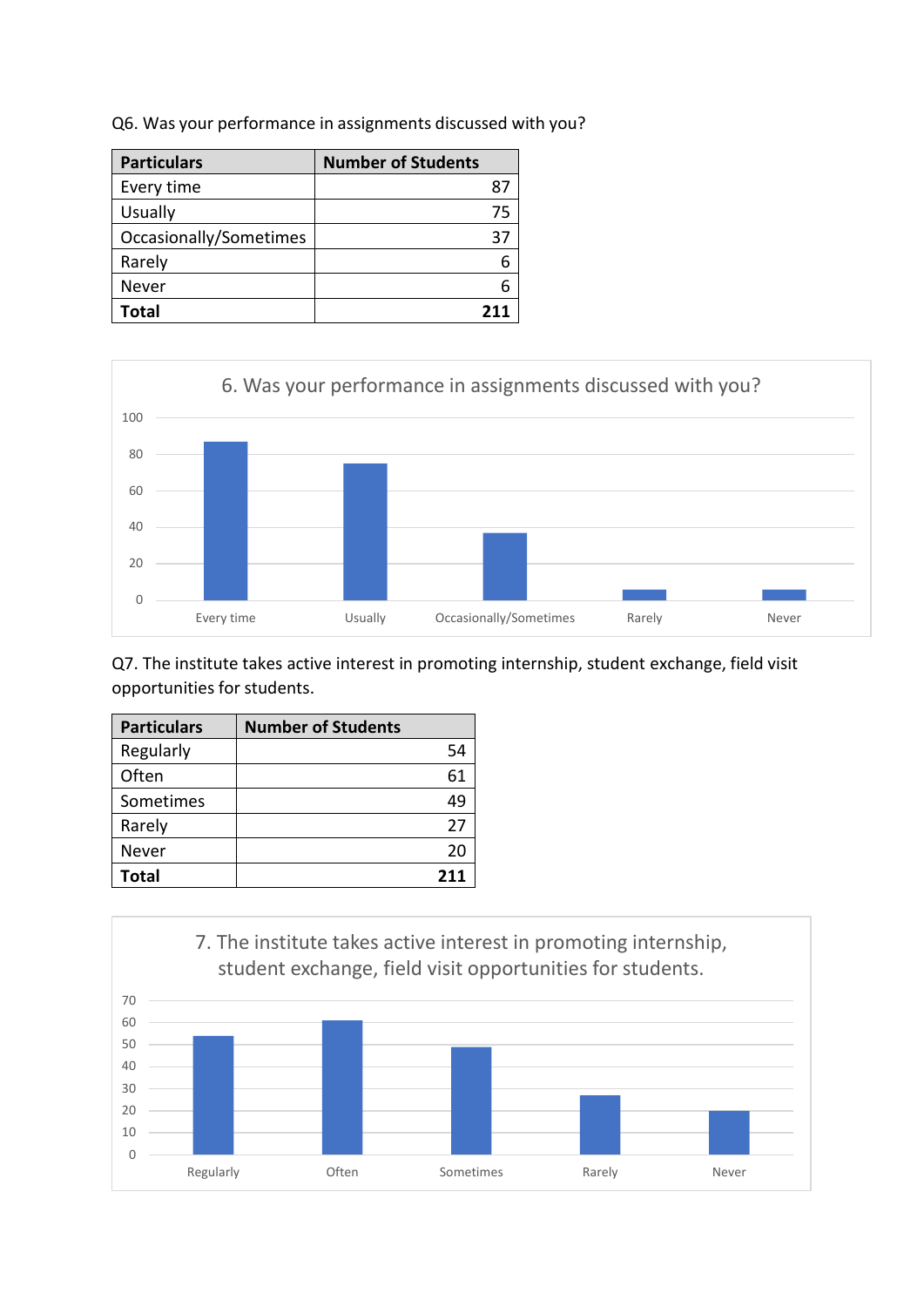|  |  |  | Q6. Was your performance in assignments discussed with you? |  |  |
|--|--|--|-------------------------------------------------------------|--|--|
|--|--|--|-------------------------------------------------------------|--|--|

| <b>Particulars</b>     | <b>Number of Students</b> |
|------------------------|---------------------------|
| Every time             | 87                        |
| Usually                | 75                        |
| Occasionally/Sometimes | 37                        |
| Rarely                 |                           |
| Never                  |                           |
| Total                  |                           |



Q7. The institute takes active interest in promoting internship, student exchange, field visit opportunities for students.

| <b>Particulars</b> | <b>Number of Students</b> |  |
|--------------------|---------------------------|--|
| Regularly          | 54                        |  |
| Often              | 61                        |  |
| Sometimes          | 49                        |  |
| Rarely             | 27                        |  |
| Never              | 20                        |  |
| <b>Total</b>       | 211                       |  |

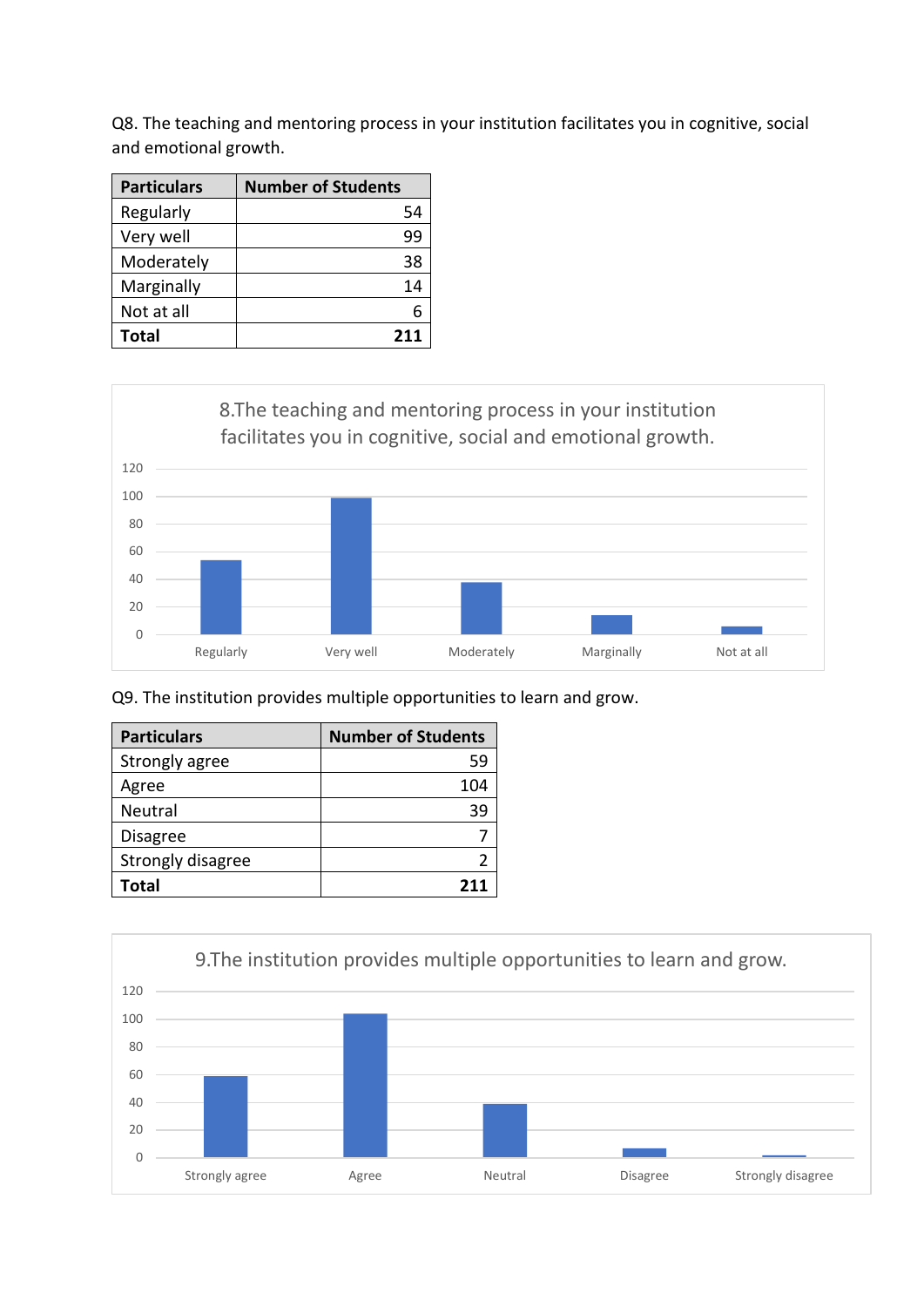Q8. The teaching and mentoring process in your institution facilitates you in cognitive, social and emotional growth.

| <b>Particulars</b> | <b>Number of Students</b> |
|--------------------|---------------------------|
| Regularly          | 54                        |
| Very well          | 99                        |
| Moderately         | 38                        |
| Marginally         | 14                        |
| Not at all         |                           |
| <b>Total</b>       | 211                       |



Q9. The institution provides multiple opportunities to learn and grow.

| <b>Particulars</b> | <b>Number of Students</b> |
|--------------------|---------------------------|
| Strongly agree     | 59                        |
| Agree              | 104                       |
| Neutral            | 39                        |
| <b>Disagree</b>    |                           |
| Strongly disagree  |                           |
| Total              |                           |

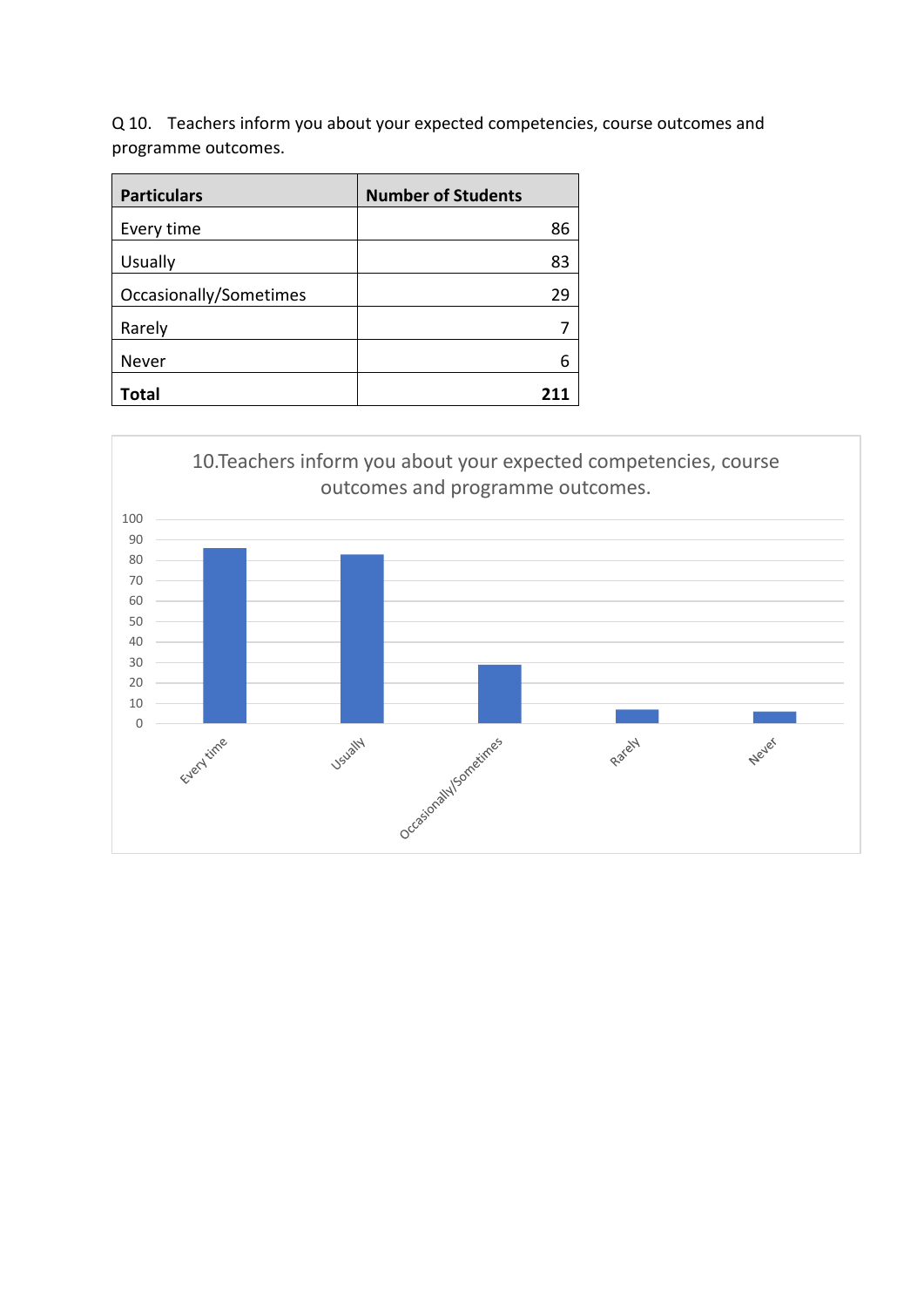Q 10. Teachers inform you about your expected competencies, course outcomes and programme outcomes.

| <b>Particulars</b>     | <b>Number of Students</b> |
|------------------------|---------------------------|
| Every time             | 86                        |
| Usually                | 83                        |
| Occasionally/Sometimes | 29                        |
| Rarely                 |                           |
| Never                  |                           |
| Total                  |                           |

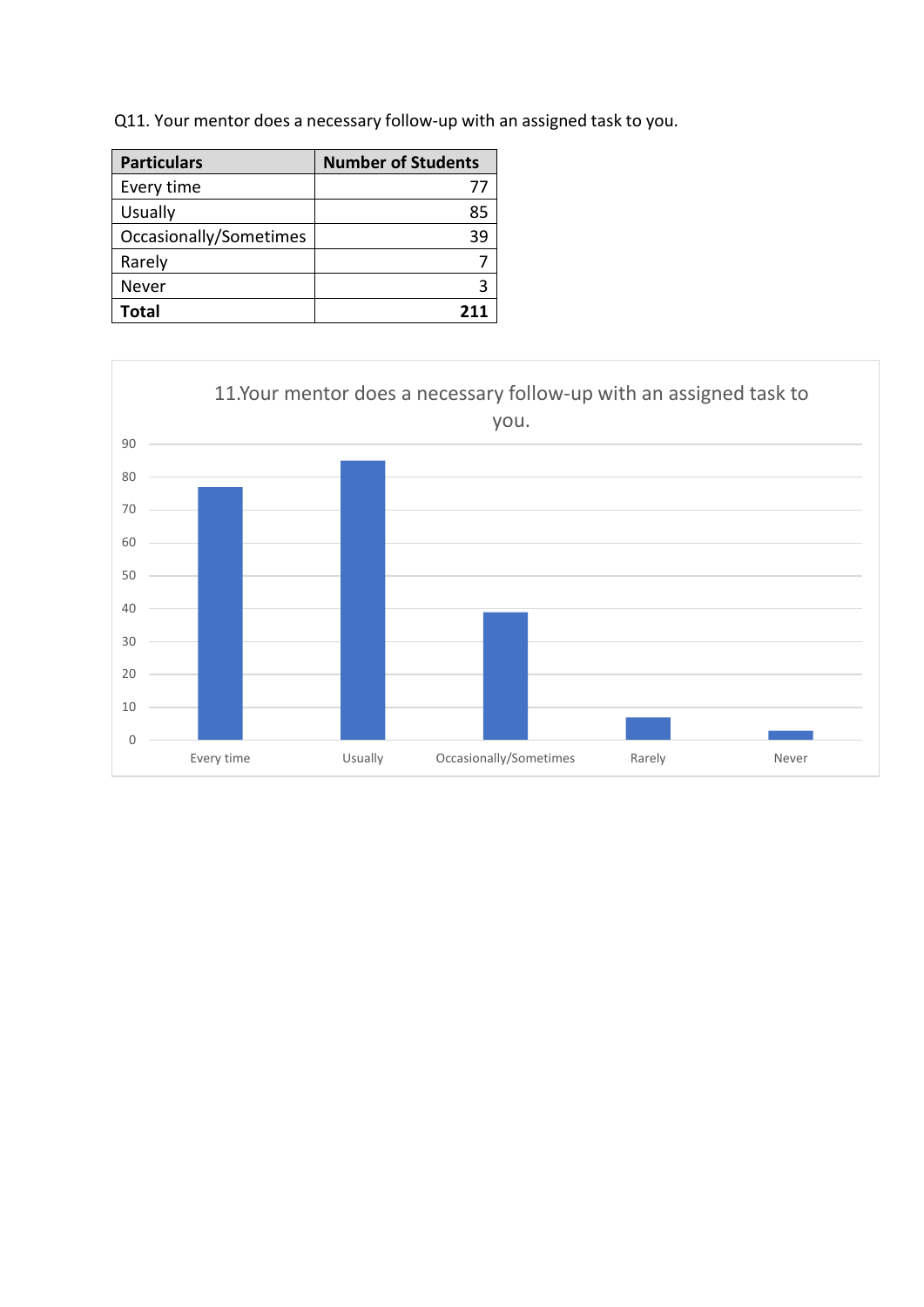Q11. Your mentor does a necessary follow-up with an assigned task to you.

| <b>Particulars</b>     | <b>Number of Students</b> |
|------------------------|---------------------------|
| Every time             | $\prime\prime$            |
| <b>Usually</b>         | 85                        |
| Occasionally/Sometimes | 39                        |
| Rarely                 |                           |
| Never                  |                           |
| Total                  | 211                       |

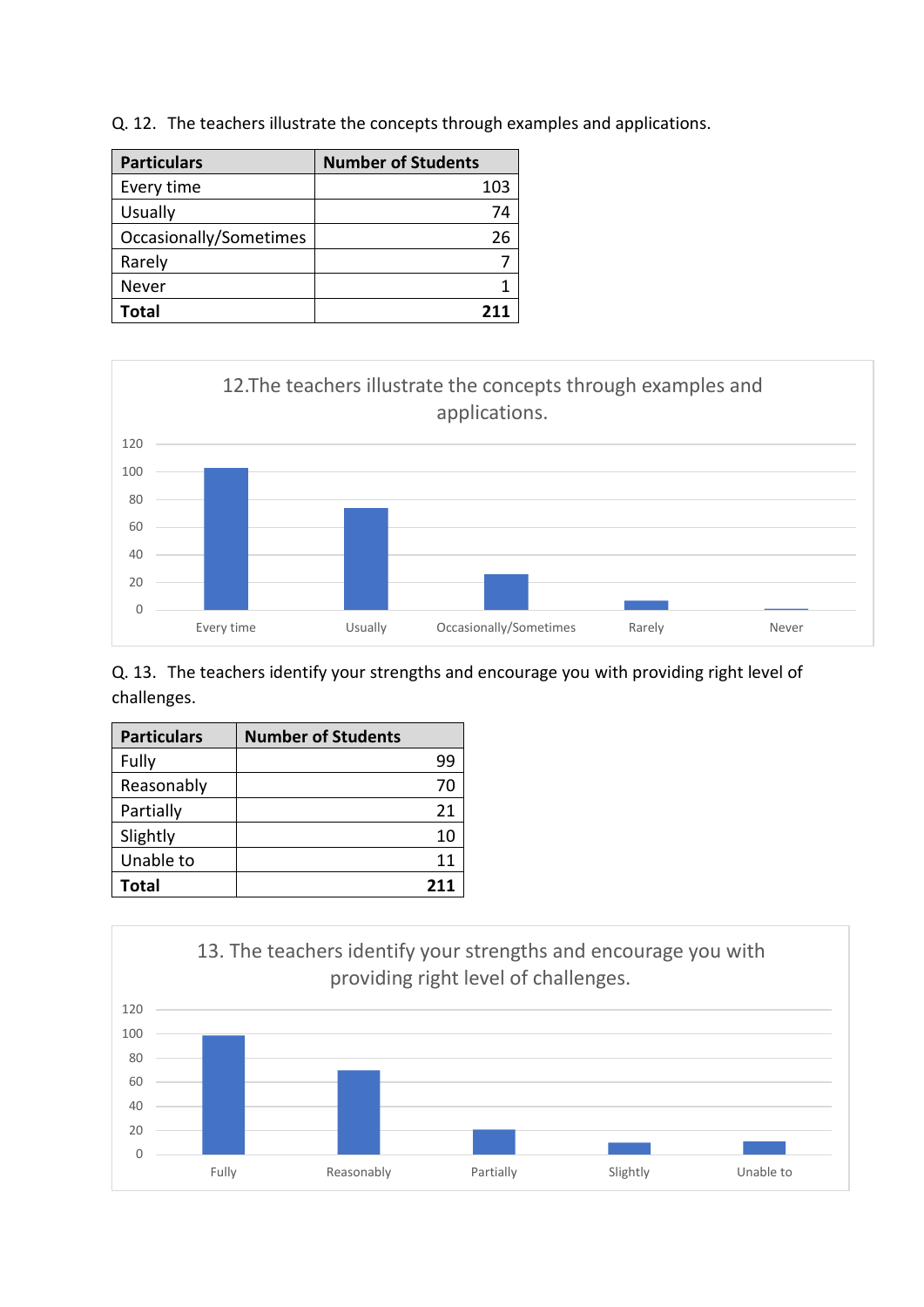|  | Q. 12. The teachers illustrate the concepts through examples and applications. |  |  |  |  |  |  |
|--|--------------------------------------------------------------------------------|--|--|--|--|--|--|
|--|--------------------------------------------------------------------------------|--|--|--|--|--|--|

| <b>Particulars</b>     | <b>Number of Students</b> |
|------------------------|---------------------------|
| Every time             | 103                       |
| <b>Usually</b>         | 74                        |
| Occasionally/Sometimes | 26                        |
| Rarely                 |                           |
| Never                  |                           |
| <b>Total</b>           | 211                       |



Q. 13. The teachers identify your strengths and encourage you with providing right level of challenges.

| <b>Particulars</b> | <b>Number of Students</b> |
|--------------------|---------------------------|
| Fully              | 99                        |
| Reasonably         | 70                        |
| Partially          | 21                        |
| Slightly           | 10                        |
| Unable to          | 11                        |
| Total              | 211                       |

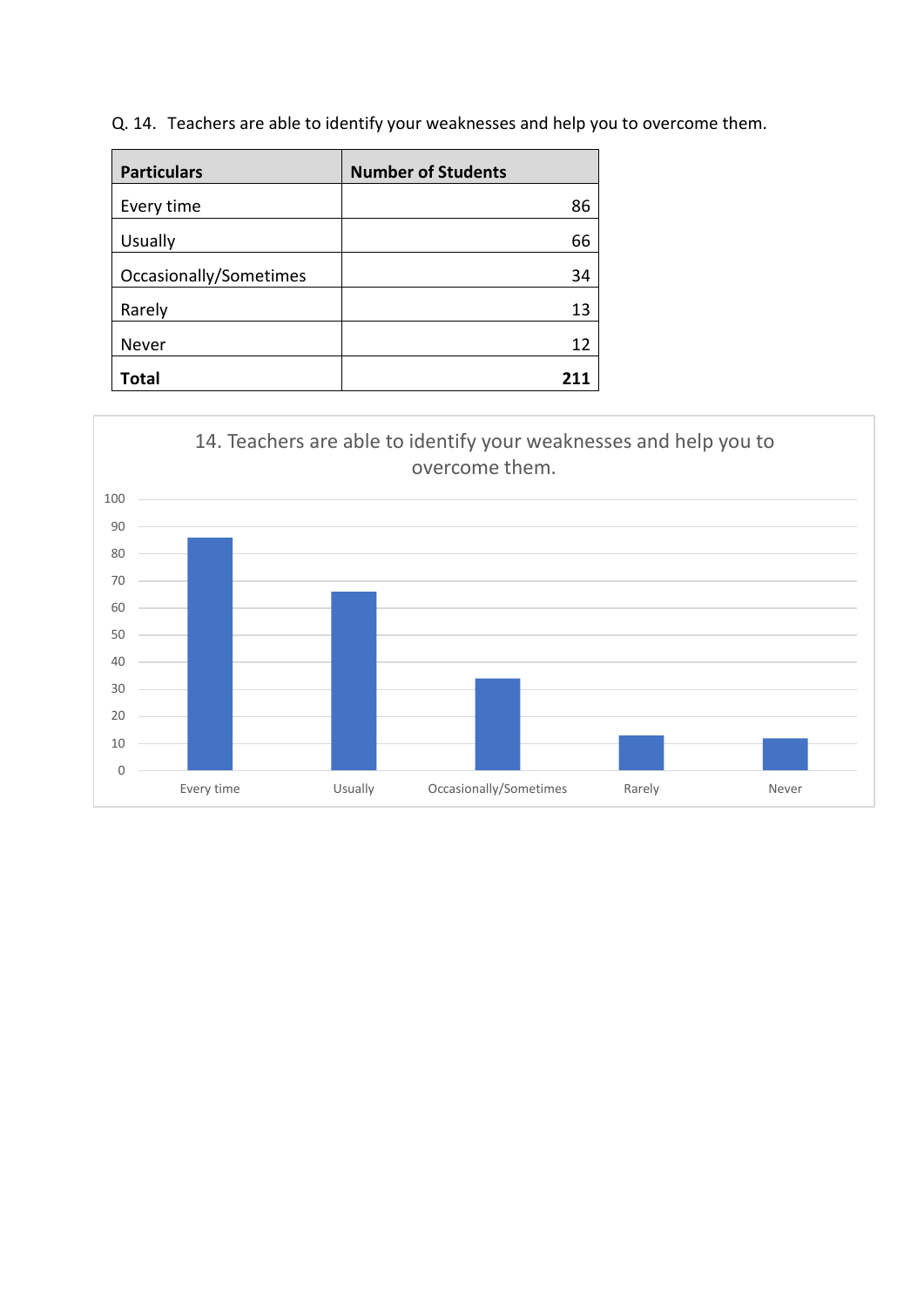Q. 14. Teachers are able to identify your weaknesses and help you to overcome them.

| <b>Particulars</b>     | <b>Number of Students</b> |
|------------------------|---------------------------|
| Every time             | 86                        |
| <b>Usually</b>         | 66                        |
| Occasionally/Sometimes | 34                        |
| Rarely                 | 13                        |
| Never                  | 12                        |
| <b>Total</b>           | 211                       |

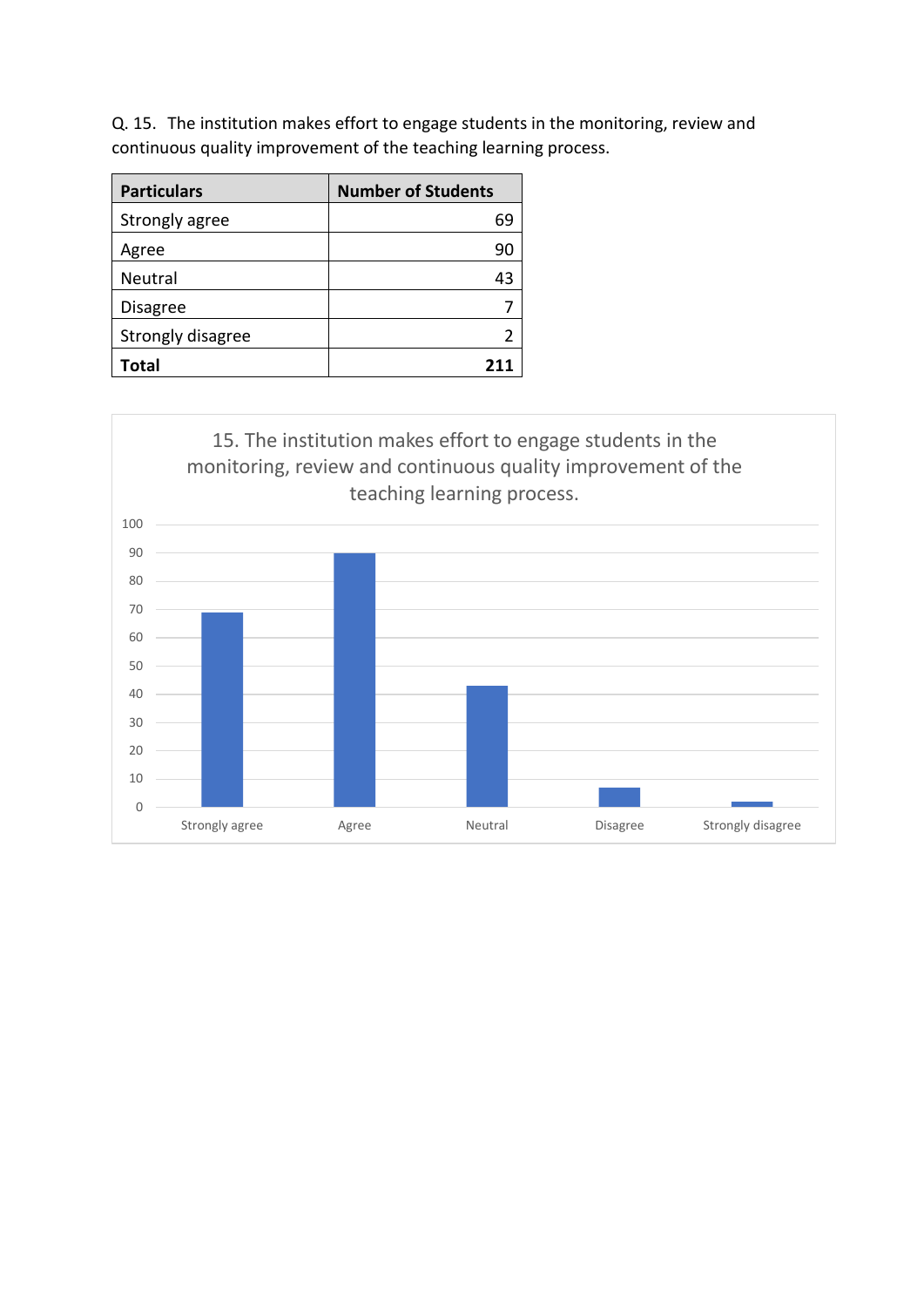Q. 15. The institution makes effort to engage students in the monitoring, review and continuous quality improvement of the teaching learning process.

| <b>Particulars</b> | <b>Number of Students</b> |
|--------------------|---------------------------|
| Strongly agree     | 69                        |
| Agree              | 90                        |
| Neutral            | 43                        |
| <b>Disagree</b>    |                           |
| Strongly disagree  |                           |
| Total              |                           |

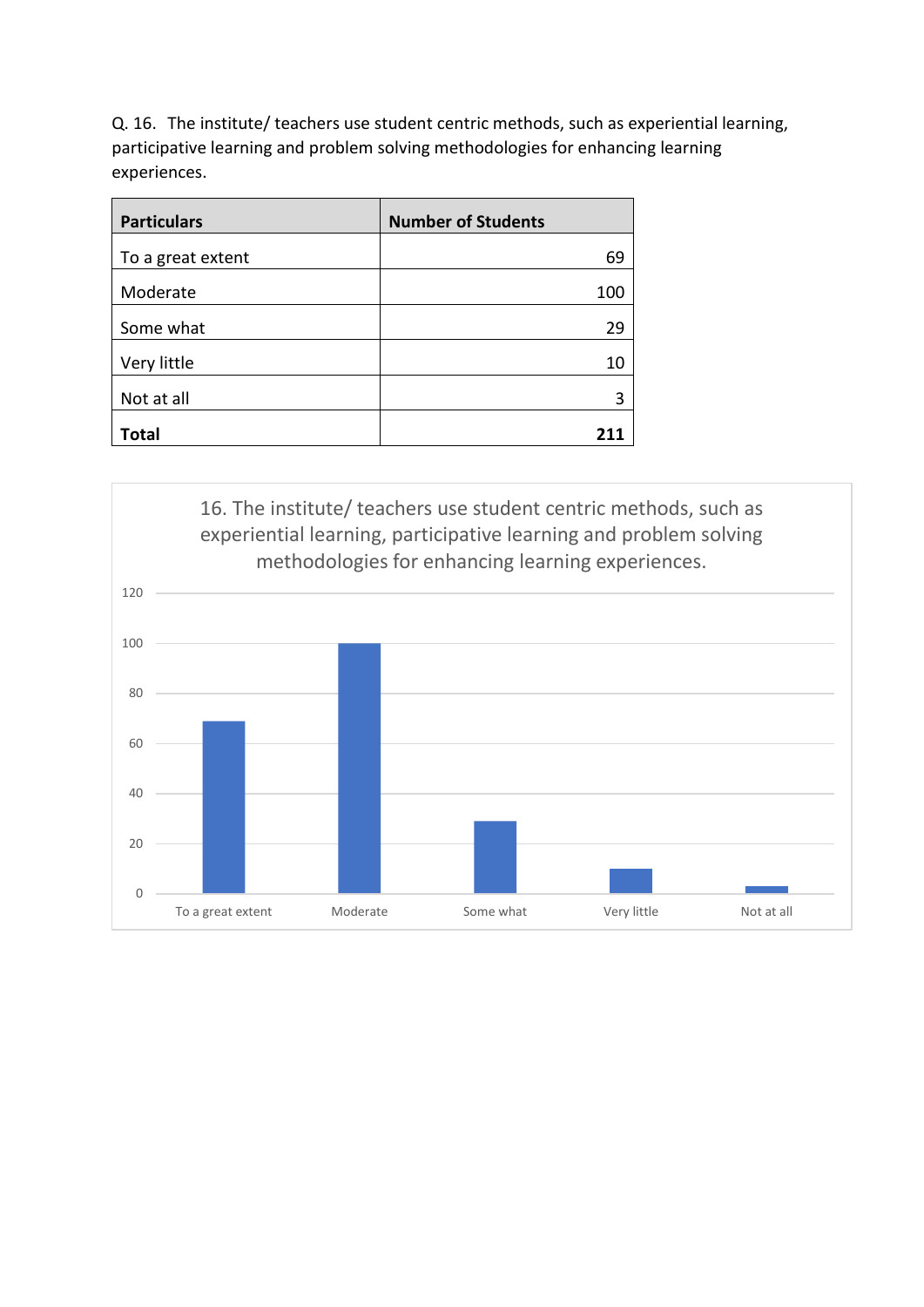Q. 16. The institute/ teachers use student centric methods, such as experiential learning, participative learning and problem solving methodologies for enhancing learning experiences.

| <b>Particulars</b> | <b>Number of Students</b> |
|--------------------|---------------------------|
| To a great extent  | 69                        |
| Moderate           | 100                       |
| Some what          | 29                        |
| Very little        | 10                        |
| Not at all         | 3                         |
| <b>Total</b>       |                           |

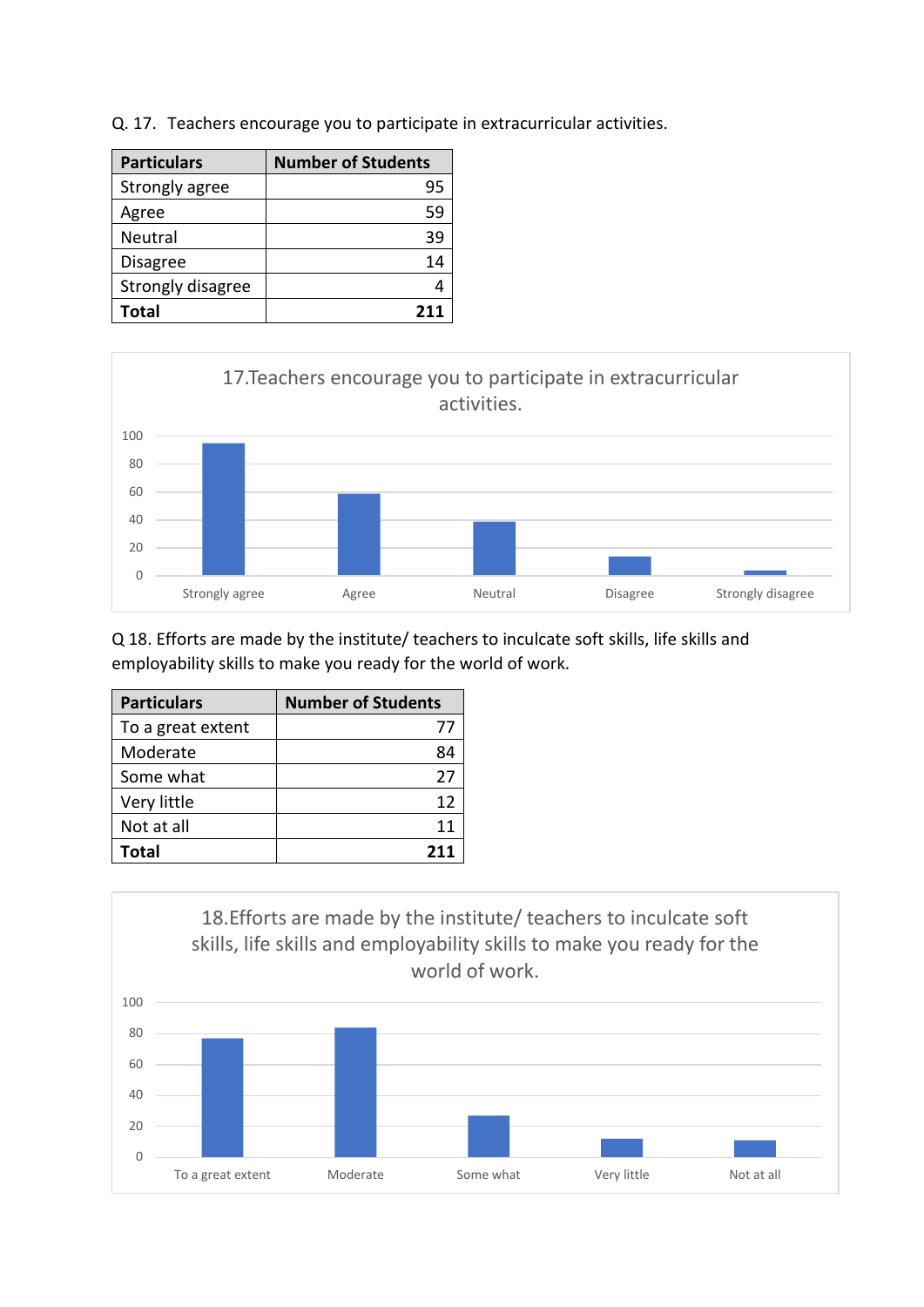Q. 17. Teachers encourage you to participate in extracurricular activities.

| <b>Particulars</b> | <b>Number of Students</b> |
|--------------------|---------------------------|
| Strongly agree     | 95                        |
| Agree              | 59                        |
| Neutral            | 39                        |
| <b>Disagree</b>    | 14                        |
| Strongly disagree  |                           |
| Total              | 211                       |



Q 18. Efforts are made by the institute/ teachers to inculcate soft skills, life skills and employability skills to make you ready for the world of work.

| <b>Particulars</b> | <b>Number of Students</b> |
|--------------------|---------------------------|
| To a great extent  | 77                        |
| Moderate           | 84                        |
| Some what          | 27                        |
| Very little        | 12                        |
| Not at all         | 11                        |
| Total              | 211                       |